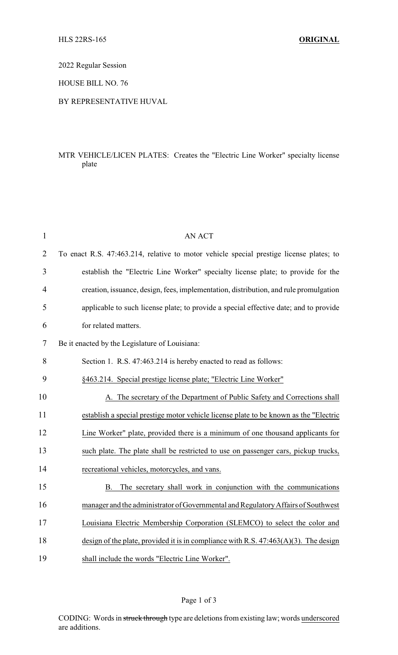### 2022 Regular Session

HOUSE BILL NO. 76

#### BY REPRESENTATIVE HUVAL

# MTR VEHICLE/LICEN PLATES: Creates the "Electric Line Worker" specialty license plate

| $\mathbf{1}$   | <b>AN ACT</b>                                                                           |
|----------------|-----------------------------------------------------------------------------------------|
| $\overline{2}$ | To enact R.S. 47:463.214, relative to motor vehicle special prestige license plates; to |
| 3              | establish the "Electric Line Worker" specialty license plate; to provide for the        |
| 4              | creation, issuance, design, fees, implementation, distribution, and rule promulgation   |
| 5              | applicable to such license plate; to provide a special effective date; and to provide   |
| 6              | for related matters.                                                                    |
| 7              | Be it enacted by the Legislature of Louisiana:                                          |
| 8              | Section 1. R.S. 47:463.214 is hereby enacted to read as follows:                        |
| 9              | §463.214. Special prestige license plate; "Electric Line Worker"                        |
| 10             | A. The secretary of the Department of Public Safety and Corrections shall               |
| 11             | establish a special prestige motor vehicle license plate to be known as the "Electric   |
| 12             | Line Worker" plate, provided there is a minimum of one thousand applicants for          |
| 13             | such plate. The plate shall be restricted to use on passenger cars, pickup trucks,      |
| 14             | recreational vehicles, motorcycles, and vans.                                           |
| 15             | The secretary shall work in conjunction with the communications<br>В.                   |
| 16             | manager and the administrator of Governmental and Regulatory Affairs of Southwest       |
| 17             | Louisiana Electric Membership Corporation (SLEMCO) to select the color and              |
| 18             | design of the plate, provided it is in compliance with R.S. $47:463(A)(3)$ . The design |
| 19             | shall include the words "Electric Line Worker".                                         |

# Page 1 of 3

CODING: Words in struck through type are deletions from existing law; words underscored are additions.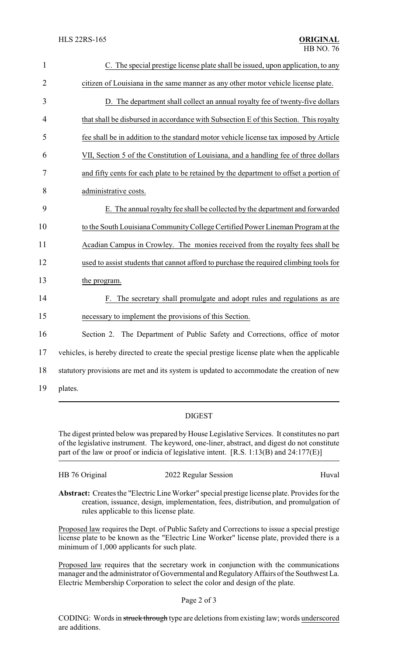| 1              | C. The special prestige license plate shall be issued, upon application, to any               |  |  |
|----------------|-----------------------------------------------------------------------------------------------|--|--|
| $\overline{2}$ | citizen of Louisiana in the same manner as any other motor vehicle license plate.             |  |  |
| 3              | D. The department shall collect an annual royalty fee of twenty-five dollars                  |  |  |
| $\overline{4}$ | that shall be disbursed in accordance with Subsection E of this Section. This royalty         |  |  |
| 5              | fee shall be in addition to the standard motor vehicle license tax imposed by Article         |  |  |
| 6              | VII, Section 5 of the Constitution of Louisiana, and a handling fee of three dollars          |  |  |
| 7              | and fifty cents for each plate to be retained by the department to offset a portion of        |  |  |
| 8              | administrative costs.                                                                         |  |  |
| 9              | E. The annual royalty fee shall be collected by the department and forwarded                  |  |  |
| 10             | to the South Louisiana Community College Certified Power Lineman Program at the               |  |  |
| 11             | Acadian Campus in Crowley. The monies received from the royalty fees shall be                 |  |  |
| 12             | used to assist students that cannot afford to purchase the required climbing tools for        |  |  |
| 13             | the program.                                                                                  |  |  |
| 14             | F. The secretary shall promulgate and adopt rules and regulations as are                      |  |  |
| 15             | necessary to implement the provisions of this Section.                                        |  |  |
| 16             | Section 2. The Department of Public Safety and Corrections, office of motor                   |  |  |
| 17             | vehicles, is hereby directed to create the special prestige license plate when the applicable |  |  |
| 18             | statutory provisions are met and its system is updated to accommodate the creation of new     |  |  |
| 19             | plates.                                                                                       |  |  |

#### DIGEST

The digest printed below was prepared by House Legislative Services. It constitutes no part of the legislative instrument. The keyword, one-liner, abstract, and digest do not constitute part of the law or proof or indicia of legislative intent. [R.S. 1:13(B) and 24:177(E)]

| HB 76 Original | 2022 Regular Session                                                                                                                                                                  | Huval |
|----------------|---------------------------------------------------------------------------------------------------------------------------------------------------------------------------------------|-------|
|                | <b>Abstract:</b> Creates the "Electric Line Worker" special prestige license plate. Provides for the<br>creation issuence degion implementation fees distribution and promulgation of |       |

creation, issuance, design, implementation, fees, distribution, and promulgation of rules applicable to this license plate.

Proposed law requires the Dept. of Public Safety and Corrections to issue a special prestige license plate to be known as the "Electric Line Worker" license plate, provided there is a minimum of 1,000 applicants for such plate.

Proposed law requires that the secretary work in conjunction with the communications manager and the administrator of Governmental and RegulatoryAffairs of the Southwest La. Electric Membership Corporation to select the color and design of the plate.